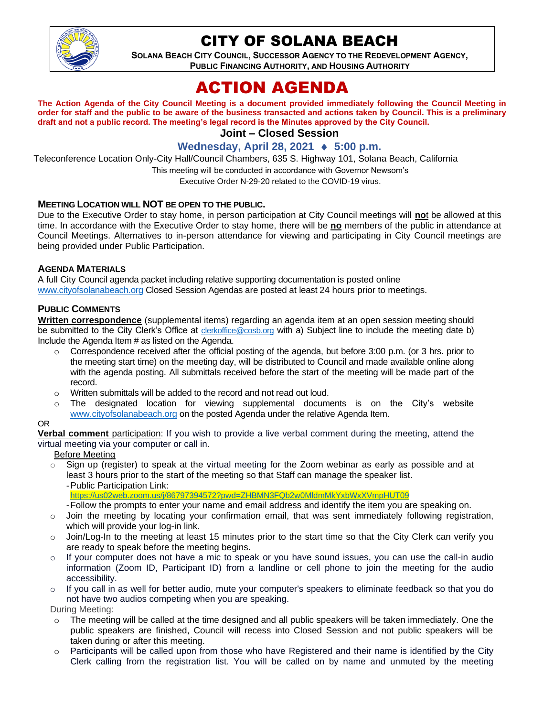

## CITY OF SOLANA BEACH

**SOLANA BEACH CITY COUNCIL, SUCCESSOR AGENCY TO THE REDEVELOPMENT AGENCY, PUBLIC FINANCING AUTHORITY, AND HOUSING AUTHORITY**

# ACTION AGENDA

**The Action Agenda of the City Council Meeting is a document provided immediately following the Council Meeting in order for staff and the public to be aware of the business transacted and actions taken by Council. This is a preliminary draft and not a public record. The meeting's legal record is the Minutes approved by the City Council.**

## **Joint – Closed Session**

**Wednesday, April 28, 2021 ♦ 5:00 p.m.** 

Teleconference Location Only-City Hall/Council Chambers, 635 S. Highway 101, Solana Beach, California

This meeting will be conducted in accordance with Governor Newsom's

Executive Order N-29-20 related to the COVID-19 virus.

#### **MEETING LOCATION WILL NOT BE OPEN TO THE PUBLIC.**

Due to the Executive Order to stay home, in person participation at City Council meetings will **no**t be allowed at this time. In accordance with the Executive Order to stay home, there will be **no** members of the public in attendance at Council Meetings. Alternatives to in-person attendance for viewing and participating in City Council meetings are being provided under Public Participation.

#### **AGENDA MATERIALS**

A full City Council agenda packet including relative supporting documentation is posted online [www.cityofsolanabeach.org](https://urldefense.proofpoint.com/v2/url?u=http-3A__www.cityofsolanabeach.org&d=DwQFAg&c=euGZstcaTDllvimEN8b7jXrwqOf-v5A_CdpgnVfiiMM&r=1XAsCUuqwK_tji2t0s1uIQ&m=wny2RVfZJ2tN24LkqZmkUWNpwL_peNtTZUBlTBZiMM4&s=6ATguqxJUOD7VVtloplAbyuyNaVcEh6Fl4q1iw55lCY&e=) Closed Session Agendas are posted at least 24 hours prior to meetings.

#### **PUBLIC COMMENTS**

**Written correspondence** (supplemental items) regarding an agenda item at an open session meeting should be submitted to the City Clerk's Office at [clerkoffice@cosb.org](mailto:clerkoffice@cosb.org) with a) Subject line to include the meeting date b) Include the Agenda Item # as listed on the Agenda.

- $\circ$  Correspondence received after the official posting of the agenda, but before 3:00 p.m. (or 3 hrs. prior to the meeting start time) on the meeting day, will be distributed to Council and made available online along with the agenda posting. All submittals received before the start of the meeting will be made part of the record.
- o Written submittals will be added to the record and not read out loud.
- $\circ$  The designated location for viewing supplemental documents is on the City's website [www.cityofsolanabeach.org](http://www.cityofsolanabeach.org/) on the posted Agenda under the relative Agenda Item.

#### OR

**Verbal comment** participation: If you wish to provide a live verbal comment during the meeting, attend the virtual meeting via your computer or call in.

Before Meeting

- $\circ$  Sign up (register) to speak at the virtual meeting for the Zoom webinar as early as possible and at least 3 hours prior to the start of the meeting so that Staff can manage the speaker list.
	- -Public Participation Link:
	- <https://us02web.zoom.us/j/86797394572?pwd=ZHBMN3FQb2w0MldmMkYxbWxXVmpHUT09>
	- -Follow the prompts to enter your name and email address and identify the item you are speaking on.
- $\circ$  Join the meeting by locating your confirmation email, that was sent immediately following registration, which will provide your log-in link.
- o Join/Log-In to the meeting at least 15 minutes prior to the start time so that the City Clerk can verify you are ready to speak before the meeting begins.
- o If your computer does not have a mic to speak or you have sound issues, you can use the call-in audio information (Zoom ID, Participant ID) from a landline or cell phone to join the meeting for the audio accessibility.
- o If you call in as well for better audio, mute your computer's speakers to eliminate feedback so that you do not have two audios competing when you are speaking.
- During Meeting:
- $\circ$  The meeting will be called at the time designed and all public speakers will be taken immediately. One the public speakers are finished, Council will recess into Closed Session and not public speakers will be taken during or after this meeting.
- o Participants will be called upon from those who have Registered and their name is identified by the City Clerk calling from the registration list. You will be called on by name and unmuted by the meeting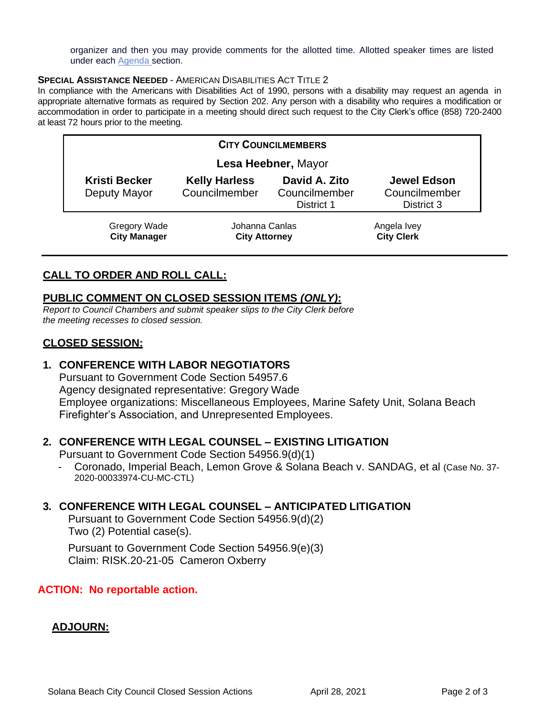organizer and then you may provide comments for the allotted time. Allotted speaker times are listed under each [Agenda s](https://urldefense.proofpoint.com/v2/url?u=https-3A__www.ci.solana-2Dbeach.ca.us_index.asp-3FSEC-3DF0F1200D-2D21C6-2D4A88-2D8AE1-2D0BC07C1A81A7-26Type-3DB-5FBASIC&d=DwMFaQ&c=euGZstcaTDllvimEN8b7jXrwqOf-v5A_CdpgnVfiiMM&r=1XAsCUuqwK_tji2t0s1uIQ&m=C7WzXfOw2_nkEFMJClT55zZsF4tmIf_7KTn0o1WpYqI&s=3DcsWExM2_nx_xpvFtXslUjphiXd0MDCCF18y_Qy5yU&e=)ection.

#### **SPECIAL ASSISTANCE NEEDED** - AMERICAN DISABILITIES ACT TITLE 2

In compliance with the Americans with Disabilities Act of 1990, persons with a disability may request an agenda in appropriate alternative formats as required by Section 202. Any person with a disability who requires a modification or accommodation in order to participate in a meeting should direct such request to the City Clerk's office (858) 720-2400 at least 72 hours prior to the meeting.

| <b>CITY COUNCILMEMBERS</b>                 |                                        |                                              |                                                   |
|--------------------------------------------|----------------------------------------|----------------------------------------------|---------------------------------------------------|
| Lesa Heebner, Mayor                        |                                        |                                              |                                                   |
| <b>Kristi Becker</b><br>Deputy Mayor       | <b>Kelly Harless</b><br>Councilmember  | David A. Zito<br>Councilmember<br>District 1 | <b>Jewel Edson</b><br>Councilmember<br>District 3 |
| <b>Gregory Wade</b><br><b>City Manager</b> | Johanna Canlas<br><b>City Attorney</b> |                                              | Angela Ivey<br><b>City Clerk</b>                  |

## **CALL TO ORDER AND ROLL CALL:**

## **PUBLIC COMMENT ON CLOSED SESSION ITEMS** *(ONLY)***:**

*Report to Council Chambers and submit speaker slips to the City Clerk before the meeting recesses to closed session.*

## **CLOSED SESSION:**

## **1. CONFERENCE WITH LABOR NEGOTIATORS**

Pursuant to Government Code Section 54957.6 Agency designated representative: Gregory Wade Employee organizations: Miscellaneous Employees, Marine Safety Unit, Solana Beach Firefighter's Association, and Unrepresented Employees.

## **2. CONFERENCE WITH LEGAL COUNSEL – EXISTING LITIGATION**

Pursuant to Government Code Section 54956.9(d)(1)

- Coronado, Imperial Beach, Lemon Grove & Solana Beach v. SANDAG, et al (Case No. 37- 2020-00033974-CU-MC-CTL)

## **3. CONFERENCE WITH LEGAL COUNSEL – ANTICIPATED LITIGATION**

Pursuant to Government Code Section 54956.9(d)(2) Two (2) Potential case(s).

Pursuant to Government Code Section 54956.9(e)(3) Claim: RISK.20-21-05 Cameron Oxberry

## **ACTION: No reportable action.**

## **ADJOURN:**